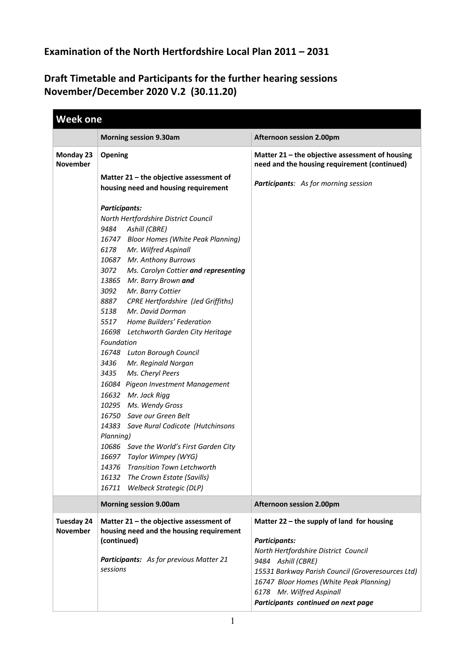## **Examination of the North Hertfordshire Local Plan 2011 – 2031**

## **Draft Timetable and Participants for the further hearing sessions November/December 2020 V.2 (30.11.20)**

|                               | <b>Morning session 9.30am</b>                                                                                                                                                                                                                                                                                                                                                                                                                                                                                                                                                                                                                                                                                                                                                                                                                                                                                                                              | <b>Afternoon session 2.00pm</b>                                                                                                                                                                                                                                                                      |
|-------------------------------|------------------------------------------------------------------------------------------------------------------------------------------------------------------------------------------------------------------------------------------------------------------------------------------------------------------------------------------------------------------------------------------------------------------------------------------------------------------------------------------------------------------------------------------------------------------------------------------------------------------------------------------------------------------------------------------------------------------------------------------------------------------------------------------------------------------------------------------------------------------------------------------------------------------------------------------------------------|------------------------------------------------------------------------------------------------------------------------------------------------------------------------------------------------------------------------------------------------------------------------------------------------------|
| Monday 23                     | Opening                                                                                                                                                                                                                                                                                                                                                                                                                                                                                                                                                                                                                                                                                                                                                                                                                                                                                                                                                    | Matter 21 - the objective assessment of housing                                                                                                                                                                                                                                                      |
| <b>November</b>               | Matter 21 - the objective assessment of<br>housing need and housing requirement                                                                                                                                                                                                                                                                                                                                                                                                                                                                                                                                                                                                                                                                                                                                                                                                                                                                            | need and the housing requirement (continued)<br><b>Participants:</b> As for morning session                                                                                                                                                                                                          |
|                               | <b>Participants:</b><br>North Hertfordshire District Council<br>9484<br>Ashill (CBRE)<br>16747 Bloor Homes (White Peak Planning)<br>6178<br>Mr. Wilfred Aspinall<br>10687 Mr. Anthony Burrows<br>3072<br>Ms. Carolyn Cottier and representing<br>13865 Mr. Barry Brown and<br>3092<br>Mr. Barry Cottier<br>8887<br><b>CPRE Hertfordshire (Jed Griffiths)</b><br>Mr. David Dorman<br>5138<br>5517<br>Home Builders' Federation<br>16698 Letchworth Garden City Heritage<br>Foundation<br>16748 Luton Borough Council<br>3436<br>Mr. Reginald Norgan<br>3435<br>Ms. Cheryl Peers<br>16084 Pigeon Investment Management<br>16632 Mr. Jack Rigg<br>10295 Ms. Wendy Gross<br>16750 Save our Green Belt<br>14383 Save Rural Codicote (Hutchinsons<br>Planning)<br>10686 Save the World's First Garden City<br>16697 Taylor Wimpey (WYG)<br>14376<br><b>Transition Town Letchworth</b><br>16132<br>The Crown Estate (Savills)<br>Welbeck Strategic (DLP)<br>16711 |                                                                                                                                                                                                                                                                                                      |
|                               | <b>Morning session 9.00am</b>                                                                                                                                                                                                                                                                                                                                                                                                                                                                                                                                                                                                                                                                                                                                                                                                                                                                                                                              | Afternoon session 2.00pm                                                                                                                                                                                                                                                                             |
| Tuesday 24<br><b>November</b> | Matter 21 - the objective assessment of<br>housing need and the housing requirement<br>(continued)<br>Participants: As for previous Matter 21<br>sessions                                                                                                                                                                                                                                                                                                                                                                                                                                                                                                                                                                                                                                                                                                                                                                                                  | Matter 22 - the supply of land for housing<br><b>Participants:</b><br>North Hertfordshire District Council<br>9484 Ashill (CBRE)<br>15531 Barkway Parish Council (Groveresources Ltd)<br>16747 Bloor Homes (White Peak Planning)<br>6178 Mr. Wilfred Aspinall<br>Participants continued on next page |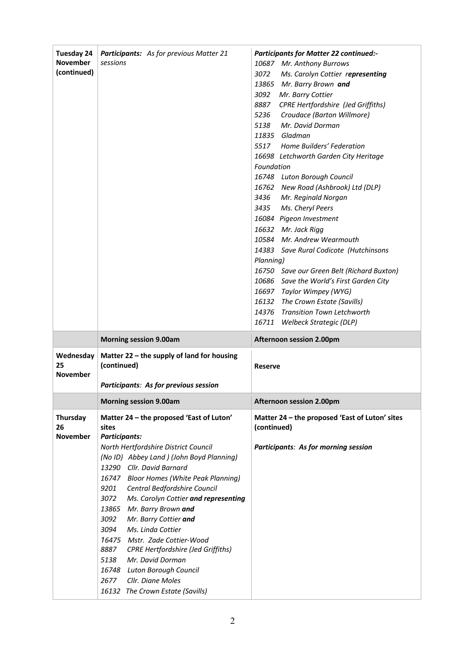| <b>Tuesday 24</b><br><b>November</b><br>(continued) | <b>Participants:</b> As for previous Matter 21<br>sessions                                                        | <b>Participants for Matter 22 continued:-</b><br>10687 Mr. Anthony Burrows<br>3072<br>Ms. Carolyn Cottier representing<br>13865 Mr. Barry Brown and<br>3092<br>Mr. Barry Cottier<br>8887<br><b>CPRE Hertfordshire (Jed Griffiths)</b><br>5236<br>Croudace (Barton Willmore)<br>5138<br>Mr. David Dorman<br>11835 Gladman<br>5517 Home Builders' Federation<br>16698 Letchworth Garden City Heritage<br>Foundation<br>16748 Luton Borough Council<br>16762 New Road (Ashbrook) Ltd (DLP)<br>3436<br>Mr. Reginald Norgan<br>3435<br>Ms. Cheryl Peers<br>16084 Pigeon Investment<br>16632 Mr. Jack Rigg<br>10584 Mr. Andrew Wearmouth<br>14383 Save Rural Codicote (Hutchinsons<br>Planning)<br>16750 Save our Green Belt (Richard Buxton)<br>10686 Save the World's First Garden City<br>16697 Taylor Wimpey (WYG)<br>16132 The Crown Estate (Savills)<br>14376 Transition Town Letchworth<br>16711 Welbeck Strategic (DLP) |
|-----------------------------------------------------|-------------------------------------------------------------------------------------------------------------------|---------------------------------------------------------------------------------------------------------------------------------------------------------------------------------------------------------------------------------------------------------------------------------------------------------------------------------------------------------------------------------------------------------------------------------------------------------------------------------------------------------------------------------------------------------------------------------------------------------------------------------------------------------------------------------------------------------------------------------------------------------------------------------------------------------------------------------------------------------------------------------------------------------------------------|
|                                                     | <b>Morning session 9.00am</b>                                                                                     | Afternoon session 2.00pm                                                                                                                                                                                                                                                                                                                                                                                                                                                                                                                                                                                                                                                                                                                                                                                                                                                                                                  |
| Wednesday<br>25<br><b>November</b>                  | Matter 22 - the supply of land for housing<br>(continued)<br>Participants: As for previous session                | <b>Reserve</b>                                                                                                                                                                                                                                                                                                                                                                                                                                                                                                                                                                                                                                                                                                                                                                                                                                                                                                            |
|                                                     | <b>Morning session 9.00am</b>                                                                                     | Afternoon session 2.00pm                                                                                                                                                                                                                                                                                                                                                                                                                                                                                                                                                                                                                                                                                                                                                                                                                                                                                                  |
| Thursday<br>26<br><b>November</b>                   | Matter 24 - the proposed 'East of Luton'<br>sites<br><b>Participants:</b><br>North Hertfordshire District Council | Matter 24 - the proposed 'East of Luton' sites<br>(continued)<br><b>Participants: As for morning session</b>                                                                                                                                                                                                                                                                                                                                                                                                                                                                                                                                                                                                                                                                                                                                                                                                              |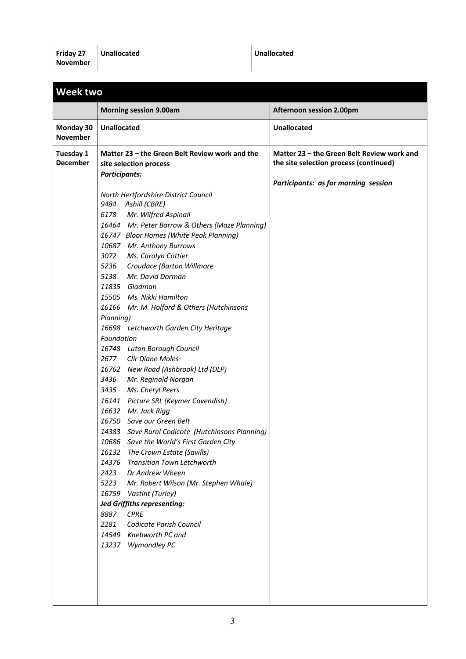| Friday 27 | Unallocated | Unallocated |
|-----------|-------------|-------------|
| November  |             |             |

|                              | <b>Morning session 9.00am</b>                                                                                                                                                                                                                                                                                                                                                                                                                                                                                                                                                                                                                                                                                                                                                                                                                                                                                                                                                                                                                                                                                                                                                                                                                                                      | <b>Afternoon session 2.00pm</b>                                                                                              |
|------------------------------|------------------------------------------------------------------------------------------------------------------------------------------------------------------------------------------------------------------------------------------------------------------------------------------------------------------------------------------------------------------------------------------------------------------------------------------------------------------------------------------------------------------------------------------------------------------------------------------------------------------------------------------------------------------------------------------------------------------------------------------------------------------------------------------------------------------------------------------------------------------------------------------------------------------------------------------------------------------------------------------------------------------------------------------------------------------------------------------------------------------------------------------------------------------------------------------------------------------------------------------------------------------------------------|------------------------------------------------------------------------------------------------------------------------------|
| Monday 30<br><b>November</b> | <b>Unallocated</b>                                                                                                                                                                                                                                                                                                                                                                                                                                                                                                                                                                                                                                                                                                                                                                                                                                                                                                                                                                                                                                                                                                                                                                                                                                                                 | <b>Unallocated</b>                                                                                                           |
| Tuesday 1<br>December        | Matter 23 – the Green Belt Review work and the<br>site selection process<br><b>Participants:</b><br>North Hertfordshire District Council<br>9484<br>Ashill (CBRE)<br>Mr. Wilfred Aspinall<br>6178<br>16464 Mr. Peter Barrow & Others (Maze Planning)<br>16747 Bloor Homes (White Peak Planning)<br>10687 Mr. Anthony Burrows<br>3072<br>Ms. Carolyn Cottier<br>5236<br>Croudace (Barton Willmore<br>Mr. David Dorman<br>5138<br>11835 Gladman<br>15505 Ms. Nikki Hamilton<br>16166 Mr. M. Holford & Others (Hutchinsons<br>Planning)<br>16698 Letchworth Garden City Heritage<br>Foundation<br>16748 Luton Borough Council<br>2677 Cllr Diane Moles<br>16762 New Road (Ashbrook) Ltd (DLP)<br>3436<br>Mr. Reginald Norgan<br>3435<br>Ms. Cheryl Peers<br>16141 Picture SRL (Keymer Cavendish)<br>16632 Mr. Jack Rigg<br>16750 Save our Green Belt<br>14383 Save Rural Codicote (Hutchinsons Planning)<br>10686 Save the World's First Garden City<br>16132 The Crown Estate (Savills)<br>14376 Transition Town Letchworth<br>2423<br>Dr Andrew Wheen<br>5223<br>Mr. Robert Wilson (Mr. Stephen Whale)<br>16759 Vastint (Turley)<br><b>Jed Griffiths representing:</b><br>8887<br><b>CPRE</b><br>2281<br>Codicote Parish Council<br>14549<br>Knebworth PC and<br>13237 Wymondley PC | Matter 23 – the Green Belt Review work and<br>the site selection process (continued)<br>Participants: as for morning session |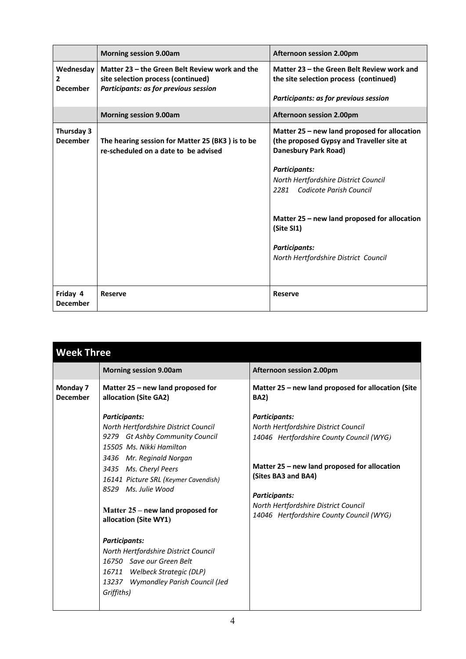|                                              | <b>Morning session 9.00am</b>                                                                                                 | Afternoon session 2.00pm                                                                                                                                                                                                                                                                                                                        |
|----------------------------------------------|-------------------------------------------------------------------------------------------------------------------------------|-------------------------------------------------------------------------------------------------------------------------------------------------------------------------------------------------------------------------------------------------------------------------------------------------------------------------------------------------|
| Wednesday<br>$\mathbf{2}$<br><b>December</b> | Matter 23 – the Green Belt Review work and the<br>site selection process (continued)<br>Participants: as for previous session | Matter 23 – the Green Belt Review work and<br>the site selection process (continued)<br>Participants: as for previous session                                                                                                                                                                                                                   |
|                                              | <b>Morning session 9.00am</b>                                                                                                 | Afternoon session 2.00pm                                                                                                                                                                                                                                                                                                                        |
| Thursday 3<br><b>December</b>                | The hearing session for Matter 25 (BK3) is to be<br>re-scheduled on a date to be advised                                      | Matter 25 – new land proposed for allocation<br>(the proposed Gypsy and Traveller site at<br>Danesbury Park Road)<br><b>Participants:</b><br>North Hertfordshire District Council<br>2281 Codicote Parish Council<br>Matter 25 – new land proposed for allocation<br>(Site SI1)<br><b>Participants:</b><br>North Hertfordshire District Council |
| Friday 4<br><b>December</b>                  | <b>Reserve</b>                                                                                                                | <b>Reserve</b>                                                                                                                                                                                                                                                                                                                                  |

| <b>Morning session 9.00am</b><br><b>Afternoon session 2.00pm</b><br>Matter 25 - new land proposed for allocation (Site<br>Monday 7<br>Matter 25 – new land proposed for<br><b>December</b><br>allocation (Site GA2)<br><b>BA2</b> )<br><b>Participants:</b><br><b>Participants:</b><br>North Hertfordshire District Council<br>North Hertfordshire District Council<br>9279 Gt Ashby Community Council<br>14046 Hertfordshire County Council (WYG)<br>15505 Ms. Nikki Hamilton<br>3436 Mr. Reginald Norgan<br>Matter 25 – new land proposed for allocation<br>3435 Ms. Cheryl Peers<br>(Sites BA3 and BA4)<br>16141 Picture SRL (Keymer Cavendish)<br>8529 Ms. Julie Wood<br><b>Participants:</b><br>North Hertfordshire District Council<br>Matter 25 – new land proposed for<br>14046 Hertfordshire County Council (WYG)<br>allocation (Site WY1)<br><b>Participants:</b><br>North Hertfordshire District Council<br>16750 Save our Green Belt<br>16711 Welbeck Strategic (DLP) | <b>Week Three</b> |  |  |
|-----------------------------------------------------------------------------------------------------------------------------------------------------------------------------------------------------------------------------------------------------------------------------------------------------------------------------------------------------------------------------------------------------------------------------------------------------------------------------------------------------------------------------------------------------------------------------------------------------------------------------------------------------------------------------------------------------------------------------------------------------------------------------------------------------------------------------------------------------------------------------------------------------------------------------------------------------------------------------------|-------------------|--|--|
|                                                                                                                                                                                                                                                                                                                                                                                                                                                                                                                                                                                                                                                                                                                                                                                                                                                                                                                                                                                   |                   |  |  |
|                                                                                                                                                                                                                                                                                                                                                                                                                                                                                                                                                                                                                                                                                                                                                                                                                                                                                                                                                                                   |                   |  |  |
| 13237 Wymondley Parish Council (Jed<br>Griffiths)                                                                                                                                                                                                                                                                                                                                                                                                                                                                                                                                                                                                                                                                                                                                                                                                                                                                                                                                 |                   |  |  |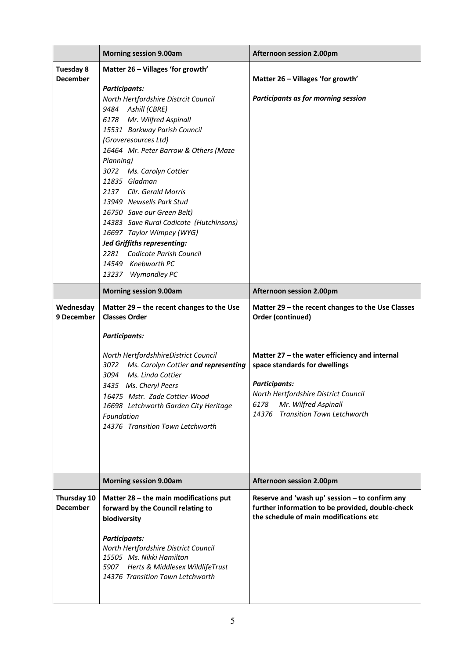|                                     | <b>Morning session 9.00am</b>                                                                                                                                                                                                                                                                                                          | <b>Afternoon session 2.00pm</b>                                                                                                                                                                                              |
|-------------------------------------|----------------------------------------------------------------------------------------------------------------------------------------------------------------------------------------------------------------------------------------------------------------------------------------------------------------------------------------|------------------------------------------------------------------------------------------------------------------------------------------------------------------------------------------------------------------------------|
| <b>Tuesday 8</b><br><b>December</b> | Matter 26 - Villages 'for growth'                                                                                                                                                                                                                                                                                                      | Matter 26 - Villages 'for growth'                                                                                                                                                                                            |
|                                     | <b>Participants:</b><br>North Hertfordshire Distrcit Council<br>9484 Ashill (CBRE)<br>6178 Mr. Wilfred Aspinall<br>15531 Barkway Parish Council<br>(Groveresources Ltd)<br>16464 Mr. Peter Barrow & Others (Maze                                                                                                                       | Participants as for morning session                                                                                                                                                                                          |
|                                     | Planning)<br>3072 Ms. Carolyn Cottier<br>11835 Gladman<br>2137 Cllr. Gerald Morris<br>13949 Newsells Park Stud<br>16750 Save our Green Belt)<br>14383 Save Rural Codicote (Hutchinsons)<br>16697 Taylor Wimpey (WYG)<br><b>Jed Griffiths representing:</b><br>2281 Codicote Parish Council<br>14549 Knebworth PC<br>13237 Wymondley PC |                                                                                                                                                                                                                              |
|                                     | <b>Morning session 9.00am</b>                                                                                                                                                                                                                                                                                                          | <b>Afternoon session 2.00pm</b>                                                                                                                                                                                              |
| Wednesday<br>9 December             | Matter 29 - the recent changes to the Use<br><b>Classes Order</b>                                                                                                                                                                                                                                                                      | Matter 29 - the recent changes to the Use Classes<br>Order (continued)                                                                                                                                                       |
|                                     | <b>Participants:</b><br>North HertfordshhireDistrict Council<br>3072<br>Ms. Carolyn Cottier and representing<br>3094<br>Ms. Linda Cottier<br>3435 Ms. Cheryl Peers<br>16475 Mstr. Zade Cottier-Wood<br>16698 Letchworth Garden City Heritage<br>Foundation<br>14376 Transition Town Letchworth                                         | Matter 27 - the water efficiency and internal<br>space standards for dwellings<br><b>Participants:</b><br>North Hertfordshire District Council<br>Mr. Wilfred Aspinall<br>6178<br><b>Transition Town Letchworth</b><br>14376 |
|                                     | <b>Morning session 9.00am</b>                                                                                                                                                                                                                                                                                                          | Afternoon session 2.00pm                                                                                                                                                                                                     |
| Thursday 10<br><b>December</b>      | Matter 28 - the main modifications put<br>forward by the Council relating to<br>biodiversity<br><b>Participants:</b><br>North Hertfordshire District Council<br>15505 Ms. Nikki Hamilton<br>5907 Herts & Middlesex WildlifeTrust<br>14376 Transition Town Letchworth                                                                   | Reserve and 'wash up' session - to confirm any<br>further information to be provided, double-check<br>the schedule of main modifications etc                                                                                 |